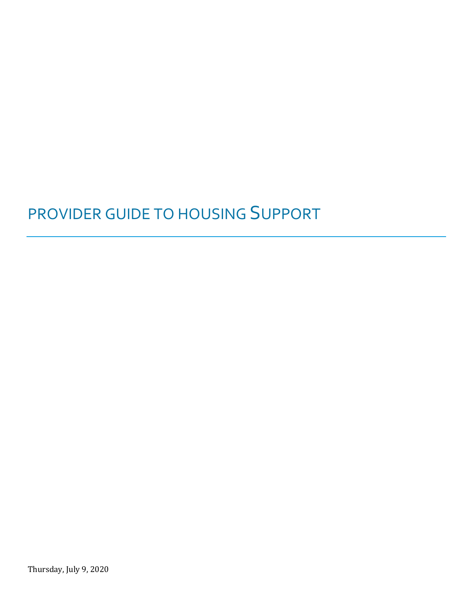# PROVIDER GUIDE TO HOUSING SUPPORT

Thursday, July 9, 2020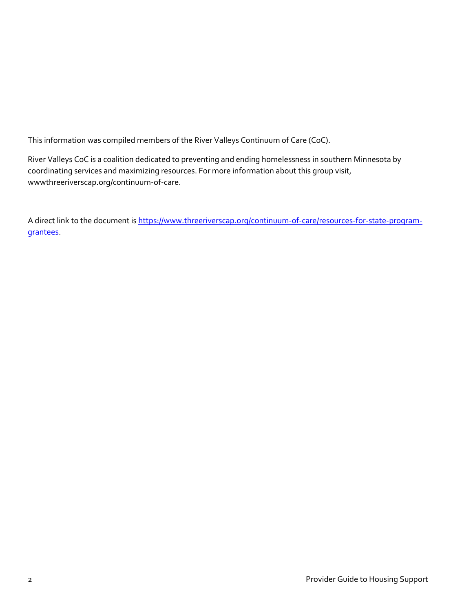This information was compiled members of the River Valleys Continuum of Care (CoC).

River Valleys CoC is a coalition dedicated to preventing and ending homelessness in southern Minnesota by coordinating services and maximizing resources. For more information about this group visit, wwwthreeriverscap.org/continuum-of-care.

A direct link to the document is [https://www.threeriverscap.org/continuum-of-care/resources-for-state-program](https://www.threeriverscap.org/continuum-of-care/resources-for-state-program-grantees)[grantees.](https://www.threeriverscap.org/continuum-of-care/resources-for-state-program-grantees)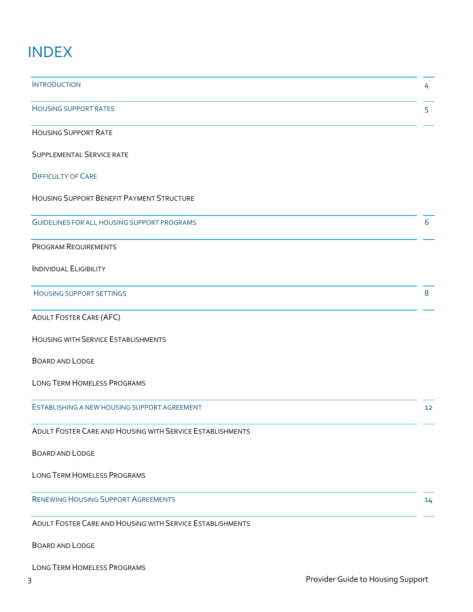# INDEX

| <b>INTRODUCTION</b>                                       | 4  |
|-----------------------------------------------------------|----|
| <b>HOUSING SUPPORT RATES</b>                              | 5  |
| <b>HOUSING SUPPORT RATE</b>                               |    |
| SUPPLEMENTAL SERVICE RATE                                 |    |
| <b>DIFFICULTY OF CARE</b>                                 |    |
| <b>HOUSING SUPPORT BENEFIT PAYMENT STRUCTURE</b>          |    |
| <b>GUIDELINES FOR ALL HOUSING SUPPORT PROGRAMS</b>        | 6  |
| PROGRAM REQUIREMENTS                                      |    |
| <b>INDIVIDUAL ELIGIBILITY</b>                             |    |
| <b>HOUSING SUPPORT SETTINGS</b>                           | 8  |
| <b>ADULT FOSTER CARE (AFC)</b>                            |    |
| <b>HOUSING WITH SERVICE ESTABLISHMENTS</b>                |    |
| BOARD AND LODGE                                           |    |
| <b>LONG TERM HOMELESS PROGRAMS</b>                        |    |
| ESTABLISHING A NEW HOUSING SUPPORT AGREEMENT              | 12 |
| ADULT FOSTER CARE AND HOUSING WITH SERVICE ESTABLISHMENTS |    |
| <b>BOARD AND LODGE</b>                                    |    |
| <b>LONG TERM HOMELESS PROGRAMS</b>                        |    |
| <b>RENEWING HOUSING SUPPORT AGREEMENTS</b>                | 14 |
| ADULT FOSTER CARE AND HOUSING WITH SERVICE ESTABLISHMENTS |    |
| BOARD AND LODGE                                           |    |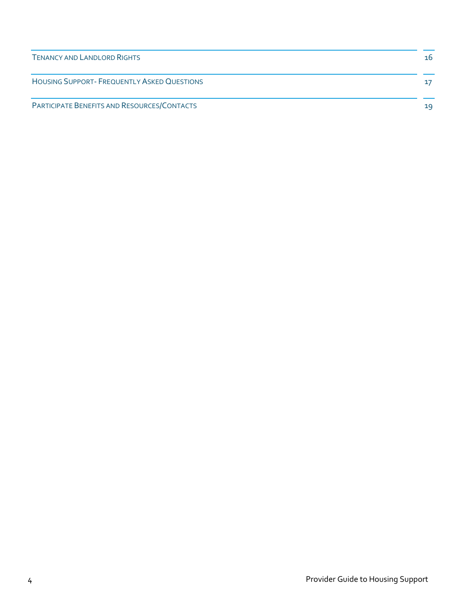| <b>TENANCY AND LANDLORD RIGHTS</b>          | 16 |
|---------------------------------------------|----|
| HOUSING SUPPORT- FREQUENTLY ASKED QUESTIONS | 17 |
| PARTICIPATE BENEFITS AND RESOURCES/CONTACTS | 19 |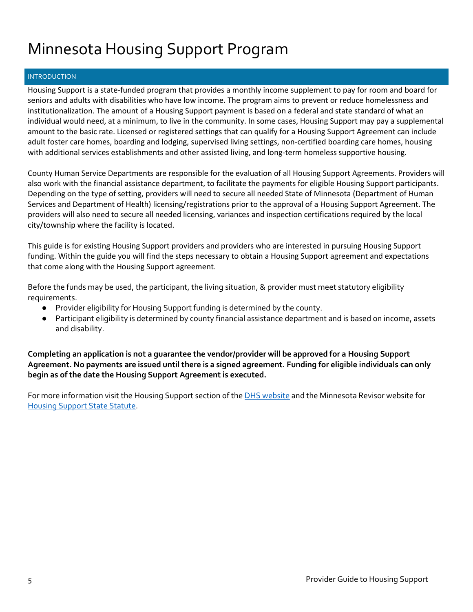# Minnesota Housing Support Program

### **INTRODUCTION**

Housing Support is a state-funded program that provides a monthly income supplement to pay for room and board for seniors and adults with disabilities who have low income. The program aims to prevent or reduce homelessness and institutionalization. The amount of a Housing Support payment is based on a federal and state standard of what an individual would need, at a minimum, to live in the community. In some cases, Housing Support may pay a supplemental amount to the basic rate. Licensed or registered settings that can qualify for a Housing Support Agreement can include adult foster care homes, boarding and lodging, supervised living settings, non-certified boarding care homes, housing with additional services establishments and other assisted living, and long-term homeless supportive housing.

County Human Service Departments are responsible for the evaluation of all Housing Support Agreements. Providers will also work with the financial assistance department, to facilitate the payments for eligible Housing Support participants. Depending on the type of setting, providers will need to secure all needed State of Minnesota (Department of Human Services and Department of Health) licensing/registrations prior to the approval of a Housing Support Agreement. The providers will also need to secure all needed licensing, variances and inspection certifications required by the local city/township where the facility is located.

This guide is for existing Housing Support providers and providers who are interested in pursuing Housing Support funding. Within the guide you will find the steps necessary to obtain a Housing Support agreement and expectations that come along with the Housing Support agreement.

Before the funds may be used, the participant, the living situation, & provider must meet statutory eligibility requirements.

- Provider eligibility for Housing Support funding is determined by the county.
- Participant eligibility is determined by county financial assistance department and is based on income, assets and disability.

**Completing an application is not a guarantee the vendor/provider will be approved for a Housing Support Agreement. No payments are issued until there is a signed agreement. Funding for eligible individuals can only begin as of the date the Housing Support Agreement is executed.** 

For more information visit the Housing Support section of th[e DHS website](https://mn.gov/dhs/people-we-serve/people-with-disabilities/economic-assistance/housing/programs-and-services/grh-housing.jsp) and the Minnesota Revisor website for [Housing Support State Statute.](https://www.revisor.mn.gov/statutes/?id=256i)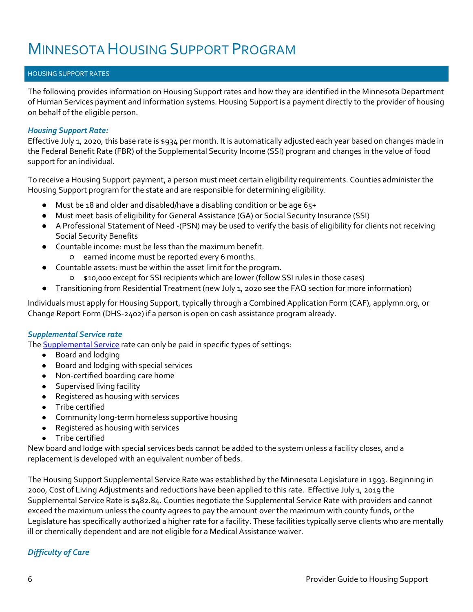### HOUSING SUPPORT RATES

The following provides information on Housing Support rates and how they are identified in the Minnesota Department of Human Services payment and information systems. Housing Support is a payment directly to the provider of housing on behalf of the eligible person.

### *Housing Support Rate:*

Effective July 1, 2020, this base rate is \$934 per month. It is automatically adjusted each year based on changes made in the Federal Benefit Rate (FBR) of the Supplemental Security Income (SSI) program and changes in the value of food support for an individual.

To receive a Housing Support payment, a person must meet certain eligibility requirements. Counties administer the Housing Support program for the state and are responsible for determining eligibility.

- Must be 18 and older and disabled/have a disabling condition or be age 65+
- Must meet basis of eligibility for General Assistance (GA) or Social Security Insurance (SSI)
- A Professional Statement of Need -(PSN) may be used to verify the basis of eligibility for clients not receiving Social Security Benefits
- Countable income: must be less than the maximum benefit.
	- earned income must be reported every 6 months.
- Countable assets: must be within the asset limit for the program.
	- \$10,000 except for SSI recipients which are lower (follow SSI rules in those cases)
- Transitioning from Residential Treatment (new July 1, 2020 see the FAQ section for more information)

Individuals must apply for Housing Support, typically through a Combined Application Form (CAF), applymn.org, or Change Report Form (DHS-2402) if a person is open on cash assistance program already.

### *Supplemental Service rate*

Th[e Supplemental Service](https://www.dhs.state.mn.us/main/idcplg?IdcService=GET_DYNAMIC_CONVERSION&RevisionSelectionMethod=LatestReleased&dDocName=DHS-289228#:~:text=The%20Minnesota%20Legislature%20establishes%20the,the%20current%20rate%20is%20%24482.84.) rate can only be paid in specific types of settings:

- Board and lodging
- Board and lodging with special services
- Non-certified boarding care home
- Supervised living facility
- Registered as housing with services
- Tribe certified
- Community long-term homeless supportive housing
- Registered as housing with services
- Tribe certified

New board and lodge with special services beds cannot be added to the system unless a facility closes, and a replacement is developed with an equivalent number of beds.

The Housing Support Supplemental Service Rate was established by the Minnesota Legislature in 1993. Beginning in 2000, Cost of Living Adjustments and reductions have been applied to this rate. Effective July 1, 2019 the Supplemental Service Rate is \$482.84. Counties negotiate the Supplemental Service Rate with providers and cannot exceed the maximum unless the county agrees to pay the amount over the maximum with county funds, or the Legislature has specifically authorized a higher rate for a facility. These facilities typically serve clients who are mentally ill or chemically dependent and are not eligible for a Medical Assistance waiver.

# *Difficulty of Care*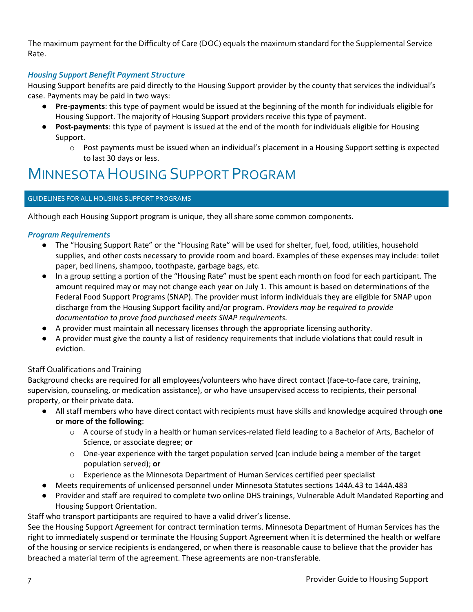The maximum payment for the Difficulty of Care (DOC) equals the maximum standard for the Supplemental Service Rate.

# *Housing Support Benefit Payment Structure*

Housing Support benefits are paid directly to the Housing Support provider by the county that services the individual's case. Payments may be paid in two ways:

- Pre-payments: this type of payment would be issued at the beginning of the month for individuals eligible for Housing Support. The majority of Housing Support providers receive this type of payment.
- **Post-payments**: this type of payment is issued at the end of the month for individuals eligible for Housing Support.
	- o Post payments must be issued when an individual's placement in a Housing Support setting is expected to last 30 days or less.

# MINNESOTA HOUSING SUPPORT PROGRAM

### GUIDELINES FOR ALL HOUSING SUPPORT PROGRAMS

Although each Housing Support program is unique, they all share some common components.

### *Program Requirements*

- The "Housing Support Rate" or the "Housing Rate" will be used for shelter, fuel, food, utilities, household supplies, and other costs necessary to provide room and board. Examples of these expenses may include: toilet paper, bed linens, shampoo, toothpaste, garbage bags, etc.
- In a group setting a portion of the "Housing Rate" must be spent each month on food for each participant. The amount required may or may not change each year on July 1. This amount is based on determinations of the Federal Food Support Programs (SNAP). The provider must inform individuals they are eligible for SNAP upon discharge from the Housing Support facility and/or program. *Providers may be required to provide documentation to prove food purchased meets SNAP requirements.*
- A provider must maintain all necessary licenses through the appropriate licensing authority.
- A provider must give the county a list of residency requirements that include violations that could result in eviction.

### Staff Qualifications and Training

Background checks are required for all employees/volunteers who have direct contact (face-to-face care, training, supervision, counseling, or medication assistance), or who have unsupervised access to recipients, their personal property, or their private data.

- All staff members who have direct contact with recipients must have skills and knowledge acquired through **one or more of the following**:
	- o A course of study in a health or human services-related field leading to a Bachelor of Arts, Bachelor of Science, or associate degree; **or**
	- $\circ$  One-year experience with the target population served (can include being a member of the target population served); **or**
	- $\circ$  Experience as the Minnesota Department of Human Services certified peer specialist
- Meets requirements of unlicensed personnel under Minnesota Statutes sections 144A.43 to 144A.483
- Provider and staff are required to complete two online DHS trainings, Vulnerable Adult Mandated Reporting and Housing Support Orientation.

Staff who transport participants are required to have a valid driver's license.

See the Housing Support Agreement for contract termination terms. Minnesota Department of Human Services has the right to immediately suspend or terminate the Housing Support Agreement when it is determined the health or welfare of the housing or service recipients is endangered, or when there is reasonable cause to believe that the provider has breached a material term of the agreement. These agreements are non-transferable.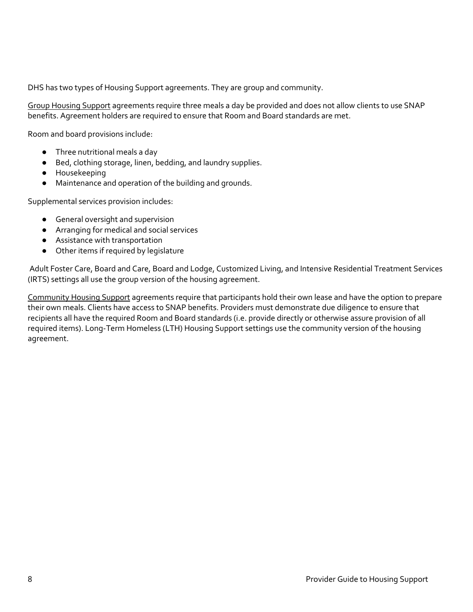DHS has two types of Housing Support agreements. They are group and community.

Group Housing Support agreements require three meals a day be provided and does not allow clients to use SNAP benefits. Agreement holders are required to ensure that Room and Board standards are met.

Room and board provisions include:

- Three nutritional meals a day
- Bed, clothing storage, linen, bedding, and laundry supplies.
- Housekeeping
- Maintenance and operation of the building and grounds.

Supplemental services provision includes:

- General oversight and supervision
- Arranging for medical and social services
- Assistance with transportation
- Other items if required by legislature

Adult Foster Care, Board and Care, Board and Lodge, Customized Living, and Intensive Residential Treatment Services (IRTS) settings all use the group version of the housing agreement.

Community Housing Support agreements require that participants hold their own lease and have the option to prepare their own meals. Clients have access to SNAP benefits. Providers must demonstrate due diligence to ensure that recipients all have the required Room and Board standards (i.e. provide directly or otherwise assure provision of all required items). Long-Term Homeless (LTH) Housing Support settings use the community version of the housing agreement.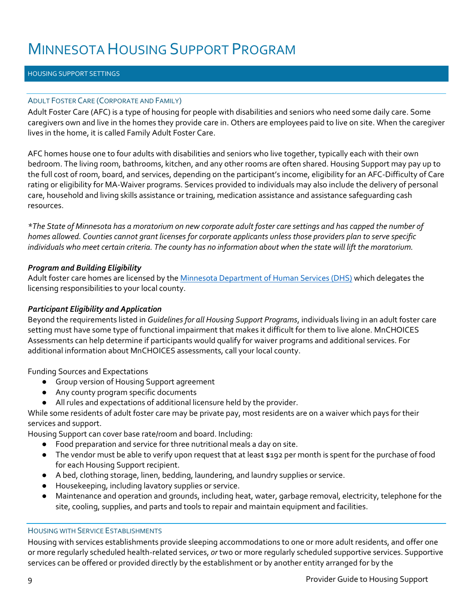### HOUSING SUPPORT SETTINGS

### ADULT FOSTER CARE (CORPORATE AND FAMILY)

Adult Foster Care (AFC) is a type of housing for people with disabilities and seniors who need some daily care. Some caregivers own and live in the homes they provide care in. Others are employees paid to live on site. When the caregiver lives in the home, it is called Family Adult Foster Care.

AFC homes house one to four adults with disabilities and seniors who live together, typically each with their own bedroom. The living room, bathrooms, kitchen, and any other rooms are often shared. Housing Support may pay up to the full cost of room, board, and services, depending on the participant's income, eligibility for an AFC-Difficulty of Care rating or eligibility for MA-Waiver programs. Services provided to individuals may also include the delivery of personal care, household and living skills assistance or training, medication assistance and assistance safeguarding cash resources.

*\*The State of Minnesota has a moratorium on new corporate adult foster care settings and has capped the number of homes allowed. Counties cannot grant licenses for corporate applicants unless those providers plan to serve specific individuals who meet certain criteria. The county has no information about when the state will lift the moratorium.* 

### *Program and Building Eligibility*

Adult foster care homes are licensed by th[e Minnesota Department of Human Services \(DHS\)](http://www.dhs.state.mn.us/main/idcplg?IdcService=GET_DYNAMIC_CONVERSION&RevisionSelectionMethod=LatestReleased&dDocName=id_054407) which delegates the licensing responsibilities to your local county.

### *Participant Eligibility and Application*

Beyond the requirements listed in *Guidelines for all Housing Support Programs*, individuals living in an adult foster care setting must have some type of functional impairment that makes it difficult for them to live alone. MnCHOICES Assessments can help determine if participants would qualify for waiver programs and additional services. For additional information about MnCHOICES assessments, call your local county.

Funding Sources and Expectations

- Group version of Housing Support agreement
- Any county program specific documents
- All rules and expectations of additional licensure held by the provider.

While some residents of adult foster care may be private pay, most residents are on a waiver which pays for their services and support.

Housing Support can cover base rate/room and board. Including:

- Food preparation and service for three nutritional meals a day on site.
- The vendor must be able to verify upon request that at least \$192 per month is spent for the purchase of food for each Housing Support recipient.
- A bed, clothing storage, linen, bedding, laundering, and laundry supplies or service.
- Housekeeping, including lavatory supplies or service.
- Maintenance and operation and grounds, including heat, water, garbage removal, electricity, telephone for the site, cooling, supplies, and parts and tools to repair and maintain equipment and facilities.

#### HOUSING WITH SERVICE ESTABLISHMENTS

Housing with services establishments provide sleeping accommodations to one or more adult residents, and offer one or more regularly scheduled health-related services, *or* two or more regularly scheduled supportive services. Supportive services can be offered or provided directly by the establishment or by another entity arranged for by the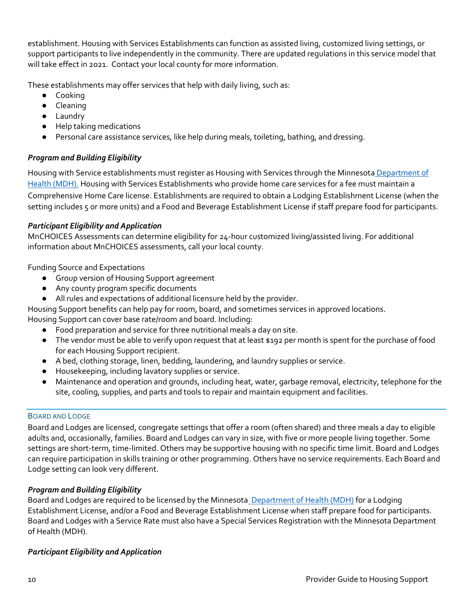establishment. Housing with Services Establishments can function as assisted living, customized living settings, or support participants to live independently in the community. There are updated regulations in this service model that will take effect in 2021. Contact your local county for more information.

These establishments may offer services that help with daily living, such as:

- Cooking
- Cleaning
- Laundry
- Help taking medications
- Personal care assistance services, like help during meals, toileting, bathing, and dressing.

# *Program and Building Eligibility*

Housing with Service establishments must register as Housing with Services through the Minnesota Department of [Health \(MDH\).](https://www.health.state.mn.us/facilities/regulation/blss/index.html) Housing with Services Establishments who provide home care services for a fee must maintain a Comprehensive Home Care license. Establishments are required to obtain a Lodging Establishment License (when the setting includes 5 or more units) and a Food and Beverage Establishment License if staff prepare food for participants.

## *Participant Eligibility and Application*

MnCHOICES Assessments can determine eligibility for 24-hour customized living/assisted living. For additional information about MnCHOICES assessments, call your local county.

Funding Source and Expectations

- Group version of Housing Support agreement
- Any county program specific documents
- All rules and expectations of additional licensure held by the provider.

Housing Support benefits can help pay for room, board, and sometimes services in approved locations.

Housing Support can cover base rate/room and board. Including:

- Food preparation and service for three nutritional meals a day on site.
- The vendor must be able to verify upon request that at least \$192 per month is spent for the purchase of food for each Housing Support recipient.
- A bed, clothing storage, linen, bedding, laundering, and laundry supplies or service.
- Housekeeping, including lavatory supplies or service.
- Maintenance and operation and grounds, including heat, water, garbage removal, electricity, telephone for the site, cooling, supplies, and parts and tools to repair and maintain equipment and facilities.

### BOARD AND LODGE

Board and Lodges are licensed, congregate settings that offer a room (often shared) and three meals a day to eligible adults and, occasionally, families. Board and Lodges can vary in size, with five or more people living together. Some settings are short-term, time-limited. Others may be supportive housing with no specific time limit. Board and Lodges can require participation in skills training or other programming. Others have no service requirements. Each Board and Lodge setting can look very different.

# *Program and Building Eligibility*

Board and Lodges are required to be licensed by the Minnesota [Department of Health \(MDH\)](https://www.health.state.mn.us/communities/environment/food/license/) for a Lodging Establishment License, and/or a Food and Beverage Establishment License when staff prepare food for participants. Board and Lodges with a Service Rate must also have a Special Services Registration with the Minnesota Department of Health (MDH).

# *Participant Eligibility and Application*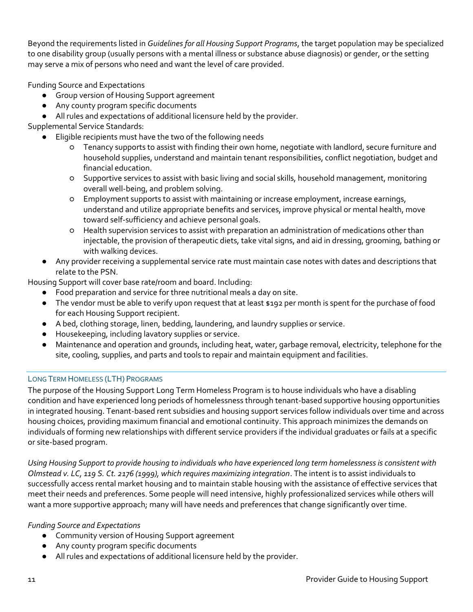Beyond the requirements listed in *Guidelines for all Housing Support Programs*, the target population may be specialized to one disability group (usually persons with a mental illness or substance abuse diagnosis) or gender, or the setting may serve a mix of persons who need and want the level of care provided.

Funding Source and Expectations

- Group version of Housing Support agreement
- Any county program specific documents
- All rules and expectations of additional licensure held by the provider.

Supplemental Service Standards:

- Eligible recipients must have the two of the following needs
	- Tenancy supports to assist with finding their own home, negotiate with landlord, secure furniture and household supplies, understand and maintain tenant responsibilities, conflict negotiation, budget and financial education.
	- Supportive services to assist with basic living and social skills, household management, monitoring overall well-being, and problem solving.
	- Employment supports to assist with maintaining or increase employment, increase earnings, understand and utilize appropriate benefits and services, improve physical or mental health, move toward self-sufficiency and achieve personal goals.
	- Health supervision services to assist with preparation an administration of medications other than injectable, the provision of therapeutic diets, take vital signs, and aid in dressing, grooming, bathing or with walking devices.
- Any provider receiving a supplemental service rate must maintain case notes with dates and descriptions that relate to the PSN.

Housing Support will cover base rate/room and board. Including:

- Food preparation and service for three nutritional meals a day on site.
- The vendor must be able to verify upon request that at least \$192 per month is spent for the purchase of food for each Housing Support recipient.
- A bed, clothing storage, linen, bedding, laundering, and laundry supplies or service.
- Housekeeping, including lavatory supplies or service.
- Maintenance and operation and grounds, including heat, water, garbage removal, electricity, telephone for the site, cooling, supplies, and parts and tools to repair and maintain equipment and facilities.

# LONG TERM HOMELESS (LTH) PROGRAMS

The purpose of the Housing Support Long Term Homeless Program is to house individuals who have a disabling condition and have experienced long periods of homelessness through tenant-based supportive housing opportunities in integrated housing. Tenant-based rent subsidies and housing support services follow individuals over time and across housing choices, providing maximum financial and emotional continuity. This approach minimizes the demands on individuals of forming new relationships with different service providers if the individual graduates or fails at a specific or site-based program.

*Using Housing Support to provide housing to individuals who have experienced long term homelessness is consistent with Olmstead v. LC, 119 S. Ct. 2176 (1999), which requires maximizing integration*. The intent is to assist individuals to successfully access rental market housing and to maintain stable housing with the assistance of effective services that meet their needs and preferences. Some people will need intensive, highly professionalized services while others will want a more supportive approach; many will have needs and preferences that change significantly over time.

# *Funding Source and Expectations*

- Community version of Housing Support agreement
- Any county program specific documents
- All rules and expectations of additional licensure held by the provider.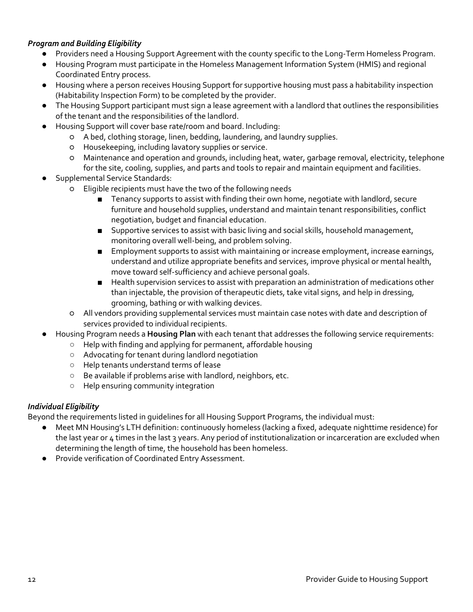## *Program and Building Eligibility*

- Providers need a Housing Support Agreement with the county specific to the Long-Term Homeless Program.
- Housing Program must participate in the Homeless Management Information System (HMIS) and regional Coordinated Entry process.
- Housing where a person receives Housing Support for supportive housing must pass a habitability inspection (Habitability Inspection Form) to be completed by the provider.
- The Housing Support participant must sign a lease agreement with a landlord that outlines the responsibilities of the tenant and the responsibilities of the landlord.
- Housing Support will cover base rate/room and board. Including:
	- A bed, clothing storage, linen, bedding, laundering, and laundry supplies.
	- Housekeeping, including lavatory supplies or service.
	- Maintenance and operation and grounds, including heat, water, garbage removal, electricity, telephone for the site, cooling, supplies, and parts and tools to repair and maintain equipment and facilities.
- Supplemental Service Standards:
	- Eligible recipients must have the two of the following needs
		- Tenancy supports to assist with finding their own home, negotiate with landlord, secure furniture and household supplies, understand and maintain tenant responsibilities, conflict negotiation, budget and financial education.
		- Supportive services to assist with basic living and social skills, household management, monitoring overall well-being, and problem solving.
		- Employment supports to assist with maintaining or increase employment, increase earnings, understand and utilize appropriate benefits and services, improve physical or mental health, move toward self-sufficiency and achieve personal goals.
		- Health supervision services to assist with preparation an administration of medications other than injectable, the provision of therapeutic diets, take vital signs, and help in dressing, grooming, bathing or with walking devices.
		- All vendors providing supplemental services must maintain case notes with date and description of services provided to individual recipients.
- Housing Program needs a **Housing Plan** with each tenant that addresses the following service requirements:
	- Help with finding and applying for permanent, affordable housing
	- Advocating for tenant during landlord negotiation
	- Help tenants understand terms of lease
	- Be available if problems arise with landlord, neighbors, etc.
	- Help ensuring community integration

# *Individual Eligibility*

Beyond the requirements listed in guidelines for all Housing Support Programs, the individual must:

- Meet MN Housing's LTH definition: continuously homeless (lacking a fixed, adequate nighttime residence) for the last year or 4 times in the last 3 years. Any period of institutionalization or incarceration are excluded when determining the length of time, the household has been homeless.
- Provide verification of Coordinated Entry Assessment.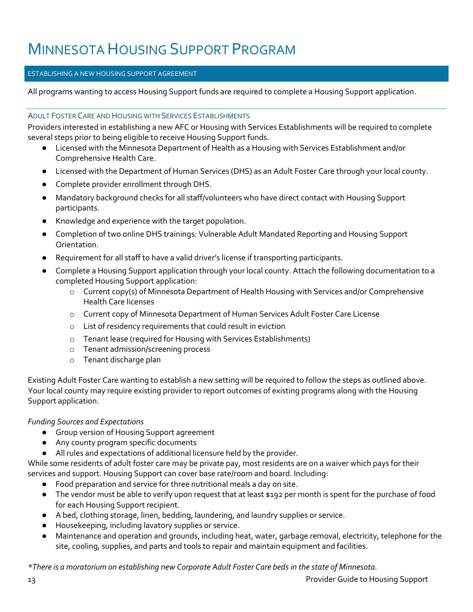### ESTABLISHING A NEW HOUSING SUPPORT AGREEMENT

All programs wanting to access Housing Support funds are required to complete a Housing Support application.

### ADULT FOSTER CARE AND HOUSING WITH SERVICES ESTABLISHMENTS

Providers interested in establishing a new AFC or Housing with Services Establishments will be required to complete several steps prior to being eligible to receive Housing Support funds.

- Licensed with the Minnesota Department of Health as a Housing with Services Establishment and/or Comprehensive Health Care.
- Licensed with the Department of Human Services (DHS) as an Adult Foster Care through your local county.
- Complete provider enrollment through DHS.
- Mandatory background checks for all staff/volunteers who have direct contact with Housing Support participants.
- Knowledge and experience with the target population.
- Completion of two online DHS trainings: Vulnerable Adult Mandated Reporting and Housing Support Orientation.
- Requirement for all staff to have a valid driver's license if transporting participants.
- Complete a Housing Support application through your local county. Attach the following documentation to a completed Housing Support application:
	- o Current copy(s) of Minnesota Department of Health Housing with Services and/or Comprehensive Health Care licenses
	- o Current copy of Minnesota Department of Human Services Adult Foster Care License
	- o List of residency requirements that could result in eviction
	- o Tenant lease (required for Housing with Services Establishments)
	- o Tenant admission/screening process
	- o Tenant discharge plan

Existing Adult Foster Care wanting to establish a new setting will be required to follow the steps as outlined above. Your local county may require existing provider to report outcomes of existing programs along with the Housing Support application.

### *Funding Sources and Expectations*

- Group version of Housing Support agreement
- Any county program specific documents
- All rules and expectations of additional licensure held by the provider.

While some residents of adult foster care may be private pay, most residents are on a waiver which pays for their services and support. Housing Support can cover base rate/room and board. Including:

- Food preparation and service for three nutritional meals a day on site.
- The vendor must be able to verify upon request that at least \$192 per month is spent for the purchase of food for each Housing Support recipient.
- A bed, clothing storage, linen, bedding, laundering, and laundry supplies or service.
- Housekeeping, including lavatory supplies or service.
- Maintenance and operation and grounds, including heat, water, garbage removal, electricity, telephone for the site, cooling, supplies, and parts and tools to repair and maintain equipment and facilities.

*\*There is a moratorium on establishing new Corporate Adult Foster Care beds in the state of Minnesota.*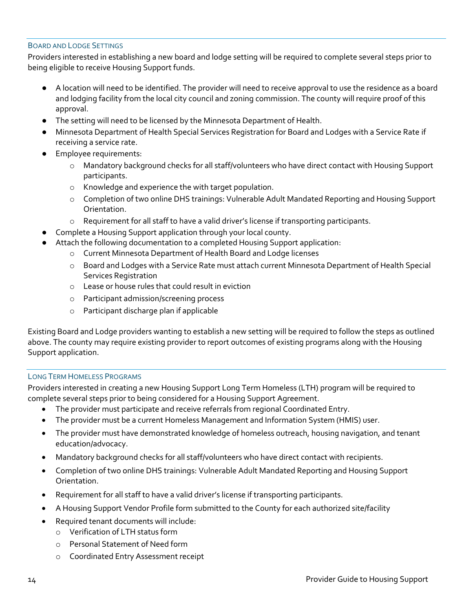#### BOARD AND LODGE SETTINGS

Providers interested in establishing a new board and lodge setting will be required to complete several steps prior to being eligible to receive Housing Support funds.

- A location will need to be identified. The provider will need to receive approval to use the residence as a board and lodging facility from the local city council and zoning commission. The county will require proof of this approval.
- The setting will need to be licensed by the Minnesota Department of Health.
- Minnesota Department of Health Special Services Registration for Board and Lodges with a Service Rate if receiving a service rate.
- **Employee requirements:** 
	- o Mandatory background checks for all staff/volunteers who have direct contact with Housing Support participants.
	- o Knowledge and experience the with target population.
	- o Completion of two online DHS trainings: Vulnerable Adult Mandated Reporting and Housing Support Orientation.
	- o Requirement for all staff to have a valid driver's license if transporting participants.
- Complete a Housing Support application through your local county.
- Attach the following documentation to a completed Housing Support application:
	- o Current Minnesota Department of Health Board and Lodge licenses
	- o Board and Lodges with a Service Rate must attach current Minnesota Department of Health Special Services Registration
	- o Lease or house rules that could result in eviction
	- o Participant admission/screening process
	- o Participant discharge plan if applicable

Existing Board and Lodge providers wanting to establish a new setting will be required to follow the steps as outlined above. The county may require existing provider to report outcomes of existing programs along with the Housing Support application.

### LONG TERM HOMELESS PROGRAMS

Providers interested in creating a new Housing Support Long Term Homeless (LTH) program will be required to complete several steps prior to being considered for a Housing Support Agreement.

- The provider must participate and receive referrals from regional Coordinated Entry.
- The provider must be a current Homeless Management and Information System (HMIS) user.
- The provider must have demonstrated knowledge of homeless outreach, housing navigation, and tenant education/advocacy.
- Mandatory background checks for all staff/volunteers who have direct contact with recipients.
- Completion of two online DHS trainings: Vulnerable Adult Mandated Reporting and Housing Support Orientation.
- Requirement for all staff to have a valid driver's license if transporting participants.
- A Housing Support Vendor Profile form submitted to the County for each authorized site/facility
- Required tenant documents will include:
	- o Verification of LTH status form
		- o Personal Statement of Need form
		- o Coordinated Entry Assessment receipt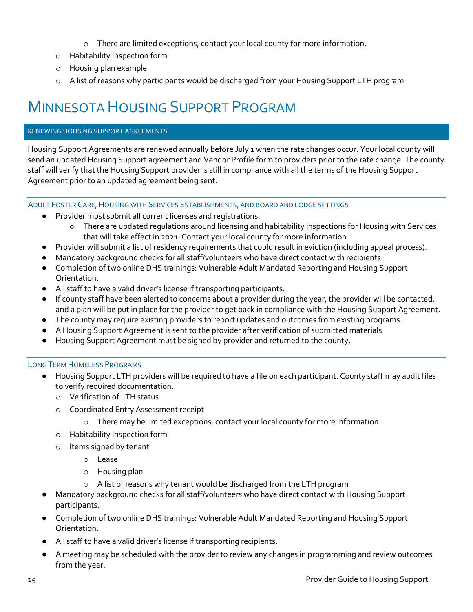- o There are limited exceptions, contact your local county for more information.
- o Habitability Inspection form
- o Housing plan example
- o A list of reasons why participants would be discharged from your Housing Support LTH program

### RENEWING HOUSING SUPPORT AGREEMENTS

Housing Support Agreements are renewed annually before July 1 when the rate changes occur. Your local county will send an updated Housing Support agreement and Vendor Profile form to providers prior to the rate change. The county staff will verify that the Housing Support provider is still in compliance with all the terms of the Housing Support Agreement prior to an updated agreement being sent.

### ADULT FOSTER CARE, HOUSING WITH SERVICES ESTABLISHMENTS, AND BOARD AND LODGE SETTINGS

- Provider must submit all current licenses and registrations.
	- $\circ$  There are updated regulations around licensing and habitability inspections for Housing with Services that will take effect in 2021. Contact your local county for more information.
- Provider will submit a list of residency requirements that could result in eviction (including appeal process).
- Mandatory background checks for all staff/volunteers who have direct contact with recipients.
- Completion of two online DHS trainings: Vulnerable Adult Mandated Reporting and Housing Support Orientation.
- All staff to have a valid driver's license if transporting participants.
- If county staff have been alerted to concerns about a provider during the year, the provider will be contacted, and a plan will be put in place for the provider to get back in compliance with the Housing Support Agreement.
- The county may require existing providers to report updates and outcomes from existing programs.
- A Housing Support Agreement is sent to the provider after verification of submitted materials
- Housing Support Agreement must be signed by provider and returned to the county.

### LONG TERM HOMELESS PROGRAMS

- Housing Support LTH providers will be required to have a file on each participant. County staff may audit files to verify required documentation.
	- o Verification of LTH status
	- o Coordinated Entry Assessment receipt
		- $\circ$  There may be limited exceptions, contact your local county for more information.
	- o Habitability Inspection form
	- o Items signed by tenant
		- o Lease
		- o Housing plan
		- o A list of reasons why tenant would be discharged from the LTH program
- Mandatory background checks for all staff/volunteers who have direct contact with Housing Support participants.
- Completion of two online DHS trainings: Vulnerable Adult Mandated Reporting and Housing Support Orientation.
- All staff to have a valid driver's license if transporting recipients.
- A meeting may be scheduled with the provider to review any changes in programming and review outcomes from the year.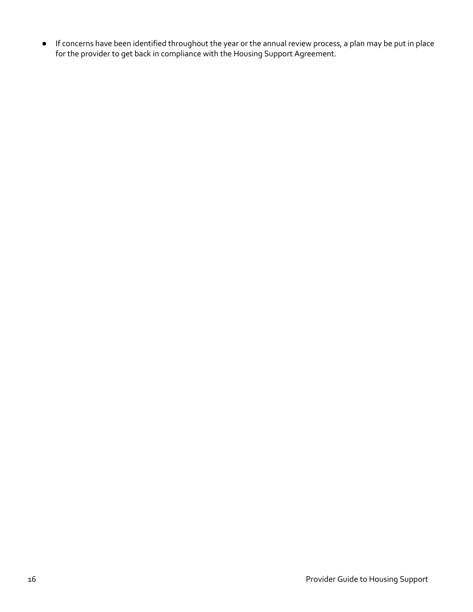● If concerns have been identified throughout the year or the annual review process, a plan may be put in place for the provider to get back in compliance with the Housing Support Agreement.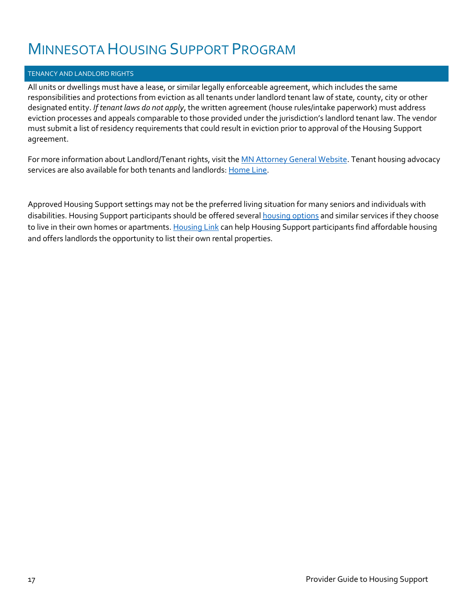### TENANCY AND LANDLORD RIGHTS

All units or dwellings must have a lease, or similar legally enforceable agreement, which includes the same responsibilities and protections from eviction as all tenants under landlord tenant law of state, county, city or other designated entity. *If tenant laws do not apply*, the written agreement (house rules/intake paperwork) must address eviction processes and appeals comparable to those provided under the jurisdiction's landlord tenant law. The vendor must submit a list of residency requirements that could result in eviction prior to approval of the Housing Support agreement.

For more information about Landlord/Tenant rights, visit th[e MN Attorney General Website.](https://www.ag.state.mn.us/Consumer/Handbooks/LT/default.asp) Tenant housing advocacy services are also available for both tenants and landlords: [Home Line.](https://homelinemn.org/)

Approved Housing Support settings may not be the preferred living situation for many seniors and individuals with disabilities. Housing Support participants should be offered several **housing options** and similar services if they choose to live in their own homes or apartments[. Housing Link](https://www.housinglink.org/) can help Housing Support participants find affordable housing and offers landlords the opportunity to list their own rental properties.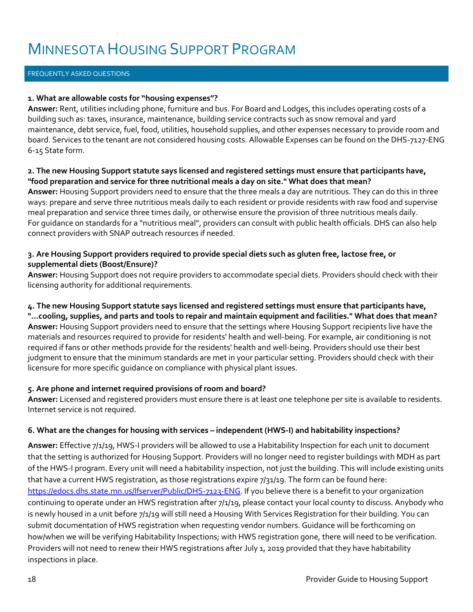### FREQUENTLY ASKED QUESTIONS

### **1. What are allowable costs for "housing expenses"?**

**Answer:** Rent, utilities including phone, furniture and bus. For Board and Lodges, this includes operating costs of a building such as: taxes, insurance, maintenance, building service contracts such as snow removal and yard maintenance, debt service, fuel, food, utilities, household supplies, and other expenses necessary to provide room and board. Services to the tenant are not considered housing costs. Allowable Expenses can be found on the DHS-7127-ENG 6-15 State form.

### **2. The new Housing Support statute says licensed and registered settings must ensure that participants have, "food preparation and service for three nutritional meals a day on site." What does that mean?**

**Answer:** Housing Support providers need to ensure that the three meals a day are nutritious. They can do this in three ways: prepare and serve three nutritious meals daily to each resident or provide residents with raw food and supervise meal preparation and service three times daily, or otherwise ensure the provision of three nutritious meals daily. For guidance on standards for a "nutritious meal", providers can consult with public health officials. DHS can also help connect providers with SNAP outreach resources if needed.

### **3. Are Housing Support providers required to provide special diets such as gluten free, lactose free, or supplemental diets (Boost/Ensure)?**

**Answer:** Housing Support does not require providers to accommodate special diets. Providers should check with their licensing authority for additional requirements.

## **4. The new Housing Support statute says licensed and registered settings must ensure that participants have,**

**"...cooling, supplies, and parts and tools to repair and maintain equipment and facilities." What does that mean? Answer:** Housing Support providers need to ensure that the settings where Housing Support recipients live have the materials and resources required to provide for residents' health and well-being. For example, air conditioning is not required if fans or other methods provide for the residents' health and well-being. Providers should use their best judgment to ensure that the minimum standards are met in your particular setting. Providers should check with their licensure for more specific guidance on compliance with physical plant issues.

### **5. Are phone and internet required provisions of room and board?**

**Answer:** Licensed and registered providers must ensure there is at least one telephone per site is available to residents. Internet service is not required.

### **6. What are the changes for housing with services – independent (HWS-I) and habitability inspections?**

**Answer:** Effective 7/1/19, HWS-I providers will be allowed to use a Habitability Inspection for each unit to document that the setting is authorized for Housing Support. Providers will no longer need to register buildings with MDH as part of the HWS-I program. Every unit will need a habitability inspection, not just the building. This will include existing units that have a current HWS registration, as those registrations expire 7/31/19. The form can be found here: [https://edocs.dhs.state.mn.us/lfserver/Public/DHS-7123-ENG.](https://edocs.dhs.state.mn.us/lfserver/Public/DHS-7123-ENG) If you believe there is a benefit to your organization continuing to operate under an HWS registration after 7/1/19, please contact your local county to discuss. Anybody who is newly housed in a unit before 7/1/19 will still need a Housing With Services Registration for their building. You can submit documentation of HWS registration when requesting vendor numbers. Guidance will be forthcoming on how/when we will be verifying Habitability Inspections; with HWS registration gone, there will need to be verification. Providers will not need to renew their HWS registrations after July 1, 2019 provided that they have habitability inspections in place.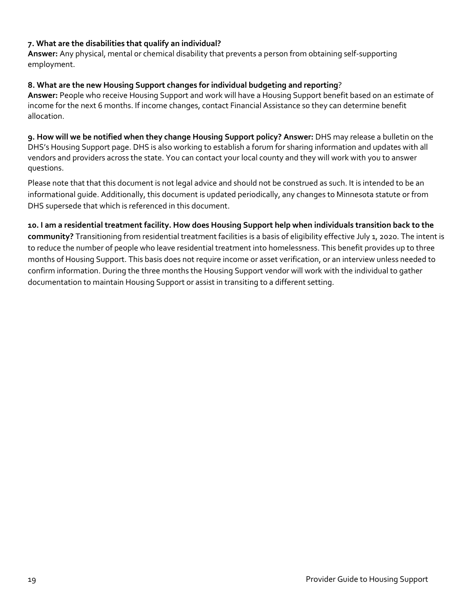### **7. What are the disabilities that qualify an individual?**

**Answer:** Any physical, mental or chemical disability that prevents a person from obtaining self-supporting employment.

### **8. What are the new Housing Support changes for individual budgeting and reporting**?

**Answer:** People who receive Housing Support and work will have a Housing Support benefit based on an estimate of income for the next 6 months. If income changes, contact Financial Assistance so they can determine benefit allocation.

**9. How will we be notified when they change Housing Support policy? Answer:** DHS may release a bulletin on the DHS's Housing Support page. DHS is also working to establish a forum for sharing information and updates with all vendors and providers across the state. You can contact your local county and they will work with you to answer questions.

Please note that that this document is not legal advice and should not be construed as such. It is intended to be an informational guide. Additionally, this document is updated periodically, any changes to Minnesota statute or from DHS supersede that which is referenced in this document.

**10. I am a residential treatment facility. How does Housing Support help when individuals transition back to the community?** Transitioning from residential treatment facilities is a basis of eligibility effective July 1, 2020. The intent is to reduce the number of people who leave residential treatment into homelessness. This benefit provides up to three months of Housing Support. This basis does not require income or asset verification, or an interview unless needed to confirm information. During the three months the Housing Support vendor will work with the individual to gather documentation to maintain Housing Support or assist in transiting to a different setting.